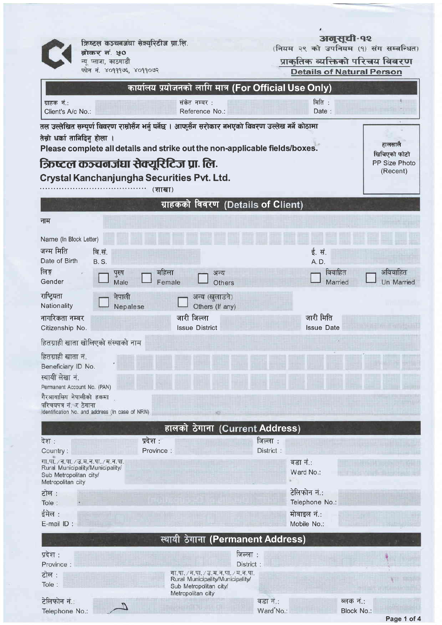क्रिष्टल कञ्चनजंघा सेक्यूरिटीज प्रा.लि.

ज्ञाकर नं. ५०<br>ब्रोकर नं. ५०<br>न्यू प्लाजा, काठमाडौ फोन नं. ४०१११७६, ४०११०७२ **अलुसूची-१२**<br>(नियम २९ को उपनियम (१) संग सम्बन्धित)

प्राकृतिक व्यक्तिको परिचय विवरण<br>Details of Natural Person

|                                                                                                                                                                                                                  | कार्यालय प्रयोजनको लागि मात्र (For Official Use Only) |                                                                          |                        |                   |                           |  |  |
|------------------------------------------------------------------------------------------------------------------------------------------------------------------------------------------------------------------|-------------------------------------------------------|--------------------------------------------------------------------------|------------------------|-------------------|---------------------------|--|--|
| ग्राहक नं.:<br>Client's A/c No.:                                                                                                                                                                                 |                                                       | संकेत नम्बर :<br>Reference No.:                                          |                        | मिति :<br>Date:   |                           |  |  |
| तल उल्लेखित सम्पूर्ण विवरण राम्रोसँग भर्नु पर्नेछ । आफूसँग सरोकार नभएको विवरण उल्लेख गर्ने कोठामा<br>तेस्रो धर्का तानिदिनु होला ।<br>Please complete all details and strike out the non-applicable fields/boxes. |                                                       |                                                                          |                        |                   |                           |  |  |
|                                                                                                                                                                                                                  | क्रिष्टल कञ्चनजंघा सेक्यूरिटिज प्रा. लि.              |                                                                          |                        |                   | PP Size Photo<br>(Recent) |  |  |
| Crystal Kanchanjungha Securities Pvt. Ltd.                                                                                                                                                                       |                                                       |                                                                          |                        |                   |                           |  |  |
|                                                                                                                                                                                                                  | (शाखा)                                                |                                                                          |                        |                   |                           |  |  |
| ग्राहकको विवरण (Details of Client)                                                                                                                                                                               |                                                       |                                                                          |                        |                   |                           |  |  |
| नाम                                                                                                                                                                                                              |                                                       |                                                                          |                        |                   |                           |  |  |
| Name (In Block Letter)                                                                                                                                                                                           |                                                       |                                                                          |                        |                   |                           |  |  |
| जन्म मिति                                                                                                                                                                                                        | बि.सं.                                                |                                                                          |                        | ई. सं.            |                           |  |  |
| Date of Birth                                                                                                                                                                                                    | <b>B.S.</b>                                           |                                                                          |                        | A. D.             |                           |  |  |
| लिङ्ग<br>Gender                                                                                                                                                                                                  | महिला<br>पुरुष                                        | अन्य                                                                     |                        | विवाहित           | अविवाहित                  |  |  |
|                                                                                                                                                                                                                  | Male                                                  | Female<br>Others                                                         |                        | Married           | Un Married                |  |  |
| राष्ट्रियता<br>Nationality                                                                                                                                                                                       | नेपाली<br>Nepalese                                    | अन्य (खुलाउने)<br>Others (If any)                                        |                        |                   |                           |  |  |
| नागरिकता नम्बर                                                                                                                                                                                                   |                                                       | जारी जिल्ला                                                              |                        | जारी मिति         |                           |  |  |
| Citizenship No.                                                                                                                                                                                                  |                                                       | <b>Issue District</b>                                                    |                        | <b>Issue Date</b> |                           |  |  |
|                                                                                                                                                                                                                  | हितग्राही खाता खोलिएको संस्थाको नाम                   |                                                                          |                        |                   |                           |  |  |
| हितग्राही खाता नं.                                                                                                                                                                                               |                                                       |                                                                          |                        |                   |                           |  |  |
| Beneficiary ID No.                                                                                                                                                                                               |                                                       |                                                                          |                        |                   |                           |  |  |
| स्थायी लेखा नं.                                                                                                                                                                                                  |                                                       |                                                                          |                        |                   |                           |  |  |
| Permanent Account No. (PAN)                                                                                                                                                                                      |                                                       |                                                                          |                        |                   |                           |  |  |
| गैरआवासिय नेपालीको हकमा<br>परिचयपत्र नं. र ठेगाना                                                                                                                                                                |                                                       |                                                                          |                        |                   |                           |  |  |
|                                                                                                                                                                                                                  | Identification No. and address (In case of NRN)       |                                                                          |                        |                   |                           |  |  |
|                                                                                                                                                                                                                  |                                                       | हालको ठेगाना (Current Address)                                           |                        |                   |                           |  |  |
| देश :                                                                                                                                                                                                            | प्रदेश :                                              |                                                                          | जिल्ला :               |                   |                           |  |  |
| Country:                                                                                                                                                                                                         | Province:                                             |                                                                          | District:              |                   |                           |  |  |
| गा.पा. / न.पा. / उ.म. न.पा. / म. न.पा.<br>Rural Municipality/Municipality/                                                                                                                                       |                                                       |                                                                          |                        | वडा नं.:          |                           |  |  |
| Sub Metropolitan city/<br>Metropolitan city                                                                                                                                                                      |                                                       |                                                                          |                        | Ward No.:         |                           |  |  |
| टोल :                                                                                                                                                                                                            |                                                       |                                                                          |                        | टेलिफोन नं.:      |                           |  |  |
| Tole:                                                                                                                                                                                                            |                                                       |                                                                          |                        | Telephone No.:    |                           |  |  |
| ईमेल :                                                                                                                                                                                                           |                                                       |                                                                          |                        | मोबाइल नं.:       |                           |  |  |
| E-mail ID:                                                                                                                                                                                                       |                                                       |                                                                          |                        | Mobile No.:       |                           |  |  |
| स्थायी ठेगाना (Permanent Address)                                                                                                                                                                                |                                                       |                                                                          |                        |                   |                           |  |  |
| प्रदेश :                                                                                                                                                                                                         |                                                       | जिल्ला :                                                                 |                        |                   |                           |  |  |
| Province:                                                                                                                                                                                                        |                                                       | District                                                                 |                        |                   |                           |  |  |
| टोल :                                                                                                                                                                                                            |                                                       | गा.पा. / न.पा. / उ.म.न.पा. / म.न.पा.<br>Rural Municipality/Municipality/ |                        |                   |                           |  |  |
| Tole:                                                                                                                                                                                                            |                                                       | Sub Metropolitan city/<br>Metropolitan city                              |                        |                   |                           |  |  |
| टेलिफोन नं.:                                                                                                                                                                                                     |                                                       |                                                                          | वडा नं.:               |                   | ब्लक नं.:                 |  |  |
| Telephone No.:                                                                                                                                                                                                   |                                                       |                                                                          | Ward <sup>*</sup> No.: |                   | Block No.:                |  |  |

Page 1 of 4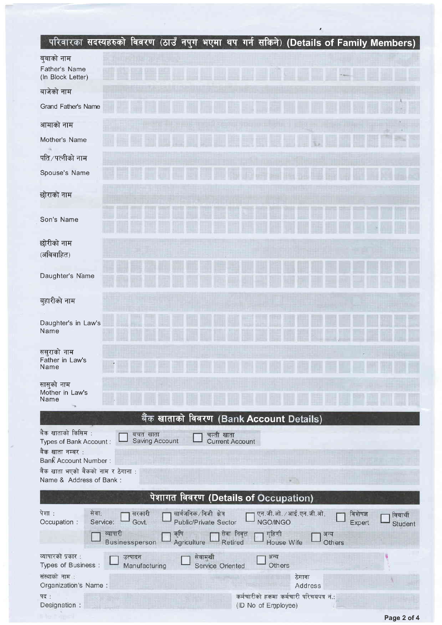## ।<br>| परिवारका सदस्यहरुको विवरण (ठाउँ नपुग भएमा थप गर्न सकिने) (Details of Family Members) ।

|                                                                                                                                                                                                      | $\frac{1}{2}$ and $\frac{1}{2}$ and $\frac{1}{2}$ and $\frac{1}{2}$ and $\frac{1}{2}$ and $\frac{1}{2}$ and $\frac{1}{2}$ betains of Family members). |  |  |  |  |  |  |
|------------------------------------------------------------------------------------------------------------------------------------------------------------------------------------------------------|-------------------------------------------------------------------------------------------------------------------------------------------------------|--|--|--|--|--|--|
| बुबाको नाम<br>Father's Name<br>(In Block Letter)                                                                                                                                                     |                                                                                                                                                       |  |  |  |  |  |  |
| बाजेको नाम                                                                                                                                                                                           |                                                                                                                                                       |  |  |  |  |  |  |
| Grand Father's Name                                                                                                                                                                                  |                                                                                                                                                       |  |  |  |  |  |  |
| आमाको नाम                                                                                                                                                                                            |                                                                                                                                                       |  |  |  |  |  |  |
| Mother's Name                                                                                                                                                                                        |                                                                                                                                                       |  |  |  |  |  |  |
| पति∕पत्नीको नाम                                                                                                                                                                                      |                                                                                                                                                       |  |  |  |  |  |  |
| Spouse's Name                                                                                                                                                                                        |                                                                                                                                                       |  |  |  |  |  |  |
| छोराको नाम                                                                                                                                                                                           |                                                                                                                                                       |  |  |  |  |  |  |
| Son's Name                                                                                                                                                                                           |                                                                                                                                                       |  |  |  |  |  |  |
| छोरीको नाम<br>(अविवाहित)                                                                                                                                                                             |                                                                                                                                                       |  |  |  |  |  |  |
| Daughter's Name                                                                                                                                                                                      |                                                                                                                                                       |  |  |  |  |  |  |
| बुहारीको नाम                                                                                                                                                                                         |                                                                                                                                                       |  |  |  |  |  |  |
| Daughter's in Law's<br>Name                                                                                                                                                                          |                                                                                                                                                       |  |  |  |  |  |  |
| ससुराको नाम<br>Father in Law's<br>Name                                                                                                                                                               |                                                                                                                                                       |  |  |  |  |  |  |
| सासुको नाम<br>Mother in Law's<br>Name                                                                                                                                                                |                                                                                                                                                       |  |  |  |  |  |  |
|                                                                                                                                                                                                      | बैंक खाताको विवरण (Bank Account Details)                                                                                                              |  |  |  |  |  |  |
| बैंक खाताको किसिम :<br>बचत खाता<br>Saving Account<br>Types of Bank Account:                                                                                                                          | चल्ती खाता<br><b>Current Account</b>                                                                                                                  |  |  |  |  |  |  |
| बैंक खाता नम्बर:<br><b>Bank Account Number:</b>                                                                                                                                                      |                                                                                                                                                       |  |  |  |  |  |  |
| बैंक खाता भएको बैंकको नाम र ठेगाना :<br>Name & Address of Bank:                                                                                                                                      |                                                                                                                                                       |  |  |  |  |  |  |
| पेशागत विवरण (Details of Occupation)                                                                                                                                                                 |                                                                                                                                                       |  |  |  |  |  |  |
| सार्वजनिक/निजी क्षेत्र<br>पेशा:<br>एन.जी.ओ. / आई.एन.जी.ओ.<br>सेवाः<br>सरकारी<br>विशेषज्ञ<br>विद्यार्थी<br>Service:<br>Govt.<br>Public/Private Sector<br>NGO/INGO<br>Occupation:<br>Expert<br>Student |                                                                                                                                                       |  |  |  |  |  |  |
| व्यापारी<br>कृषि<br>Businessperson<br>Agriculture                                                                                                                                                    | सेवा निवृत्त<br>गृहिणी<br>अन्य<br>Retired<br>House Wife<br>Others                                                                                     |  |  |  |  |  |  |
| व्यापारको प्रकार :<br>उत्पादन<br>सेवामुखी<br>Types of Business :<br>Manufacturing                                                                                                                    | अन्य<br>Others<br>Service Oriented                                                                                                                    |  |  |  |  |  |  |
| संस्थाको नाम :<br>Organization's Name:                                                                                                                                                               | ठेगाना<br>Address                                                                                                                                     |  |  |  |  |  |  |
| पद :                                                                                                                                                                                                 | कर्मचारीको हकमा कर्मचारी परिचयपत्र नं.:                                                                                                               |  |  |  |  |  |  |
| Designation :                                                                                                                                                                                        | (ID No of Employee)                                                                                                                                   |  |  |  |  |  |  |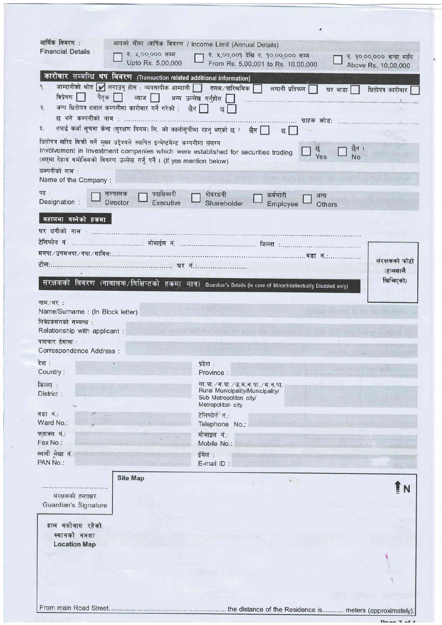| आर्थिक विवरण:                                                                                                                                                                 | आयको सीमा (वार्षिक विवरण / Income Limit (Annual Details)                                                           |  |  |  |  |  |  |
|-------------------------------------------------------------------------------------------------------------------------------------------------------------------------------|--------------------------------------------------------------------------------------------------------------------|--|--|--|--|--|--|
| <b>Financial Details:</b><br>रु. ५,००,००० सम्म                                                                                                                                | रु. ४,००,००१ देखि रु. १०,००,००० सम्म<br>रु. १०,००,००० भन्दा माथि                                                   |  |  |  |  |  |  |
| Upto Rs. 5,00,000                                                                                                                                                             | From Rs. 5,00,001 to Rs. 10,00,000<br>Above Rs. 10,00,000                                                          |  |  |  |  |  |  |
| कारोबार सम्बन्धि थप विवरण (Transaction related additional information)                                                                                                        |                                                                                                                    |  |  |  |  |  |  |
| आम्दानीको श्रोत Ø लगाउनु होस : व्यवसायीक आम्दानी │ तलब / पारिश्रमिक │<br>۹.                                                                                                   | लगानी प्रतिफल $\Box$<br>घर भाडा<br>धितोपत्र कारोवार                                                                |  |  |  |  |  |  |
| विप्रेषण  <br>पैतक ति<br>ब्याज $\Box$ अन्य उल्लेख गर्नुहोस $\Box$                                                                                                             |                                                                                                                    |  |  |  |  |  |  |
| अन्य धितोपत्र दलाल कम्पनीमा कारोवार गर्ने गरेको : छैन  <br>₹.                                                                                                                 | छ                                                                                                                  |  |  |  |  |  |  |
|                                                                                                                                                                               |                                                                                                                    |  |  |  |  |  |  |
| तपाई कर्जा सूचना केन्द्र (सुरक्षण निगम) लि. को कालोसुचीमा रहन् भएको छ ? छैन सि<br>३.<br>छ । ।                                                                                 |                                                                                                                    |  |  |  |  |  |  |
| धितोपत्र खरिद बिकी गर्ने मुख्य उद्देश्यले स्थापित इन्मेष्टमेन्ट कम्पनीमा संलग्न<br>छैन ।<br>Involvement in Investment companies which were established for securities trading |                                                                                                                    |  |  |  |  |  |  |
| (भएमा देहाय बमोजिमको विवरण उल्लेख गर्नु पर्ने । (If yes mention below)                                                                                                        | छु<br>Yes<br>No                                                                                                    |  |  |  |  |  |  |
| कम्पनीको नाम :                                                                                                                                                                |                                                                                                                    |  |  |  |  |  |  |
| Name of the Company:                                                                                                                                                          |                                                                                                                    |  |  |  |  |  |  |
| पद:<br>पदाधिकारी<br>सञ्चालक                                                                                                                                                   | शेयरधनी<br>कर्मचारी<br>अन्य                                                                                        |  |  |  |  |  |  |
| Designation :<br><b>Director</b><br>Executive                                                                                                                                 | Shareholder<br>Employee<br>Others                                                                                  |  |  |  |  |  |  |
| बहालमा बस्नेको हकमा                                                                                                                                                           |                                                                                                                    |  |  |  |  |  |  |
|                                                                                                                                                                               |                                                                                                                    |  |  |  |  |  |  |
|                                                                                                                                                                               |                                                                                                                    |  |  |  |  |  |  |
|                                                                                                                                                                               | मनपा / उपमनपा / नपा / गाविस:…………………………………………………………………………………… वडा   नं……………………                                      |  |  |  |  |  |  |
|                                                                                                                                                                               | संरक्षकको फोटो                                                                                                     |  |  |  |  |  |  |
|                                                                                                                                                                               | (हालसाल <u>ै</u><br>खिचिएको)                                                                                       |  |  |  |  |  |  |
|                                                                                                                                                                               | संरक्षकको विवरण (नाबालक/विक्षिप्तको हकमा मात्र) Guardian's Details (In case of Minor/Intellectually Disabled only) |  |  |  |  |  |  |
| नाम/थर:                                                                                                                                                                       |                                                                                                                    |  |  |  |  |  |  |
| Name/Surname : (In Block letter)                                                                                                                                              |                                                                                                                    |  |  |  |  |  |  |
| निवेदकसंगको सम्बन्ध :                                                                                                                                                         |                                                                                                                    |  |  |  |  |  |  |
| Relationship with applicant :                                                                                                                                                 |                                                                                                                    |  |  |  |  |  |  |
| पत्राचार ठेगाना :                                                                                                                                                             |                                                                                                                    |  |  |  |  |  |  |
| Correspondence Address :                                                                                                                                                      |                                                                                                                    |  |  |  |  |  |  |
| देश:<br>Country:                                                                                                                                                              | प्रदेश :<br>Province:                                                                                              |  |  |  |  |  |  |
| जिल्ला:                                                                                                                                                                       | गा.पा. / न.पा. / उ.म.न.पा. / म.न.पा.                                                                               |  |  |  |  |  |  |
| District:                                                                                                                                                                     | Rural Municipality/Municipality/                                                                                   |  |  |  |  |  |  |
|                                                                                                                                                                               | Sub Metropolitan city/<br>Metropolitan city                                                                        |  |  |  |  |  |  |
| वडा नं.:                                                                                                                                                                      | टेलिफोन नं.:                                                                                                       |  |  |  |  |  |  |
| Ward No.:                                                                                                                                                                     | Telephone No.:                                                                                                     |  |  |  |  |  |  |
| फयाक्स नं.:<br>Fax No.:                                                                                                                                                       | मोबाइल नं.:<br>Mobile No.:                                                                                         |  |  |  |  |  |  |
| स्थायी लेखा नं.:                                                                                                                                                              | ईमेल :                                                                                                             |  |  |  |  |  |  |
| PAN No.:                                                                                                                                                                      | E-mail ID:                                                                                                         |  |  |  |  |  |  |
| <b>Site Map</b>                                                                                                                                                               |                                                                                                                    |  |  |  |  |  |  |
|                                                                                                                                                                               | $\mathbf{r}$                                                                                                       |  |  |  |  |  |  |
| संरक्षकको हस्ताक्षर                                                                                                                                                           |                                                                                                                    |  |  |  |  |  |  |
| Guardian's Signature                                                                                                                                                          |                                                                                                                    |  |  |  |  |  |  |
| हाल बसोबास रहेको                                                                                                                                                              |                                                                                                                    |  |  |  |  |  |  |
| स्थानको नक्शा                                                                                                                                                                 |                                                                                                                    |  |  |  |  |  |  |
| <b>Location Map</b>                                                                                                                                                           |                                                                                                                    |  |  |  |  |  |  |
|                                                                                                                                                                               |                                                                                                                    |  |  |  |  |  |  |
|                                                                                                                                                                               |                                                                                                                    |  |  |  |  |  |  |
|                                                                                                                                                                               |                                                                                                                    |  |  |  |  |  |  |
|                                                                                                                                                                               |                                                                                                                    |  |  |  |  |  |  |
|                                                                                                                                                                               |                                                                                                                    |  |  |  |  |  |  |
|                                                                                                                                                                               |                                                                                                                    |  |  |  |  |  |  |